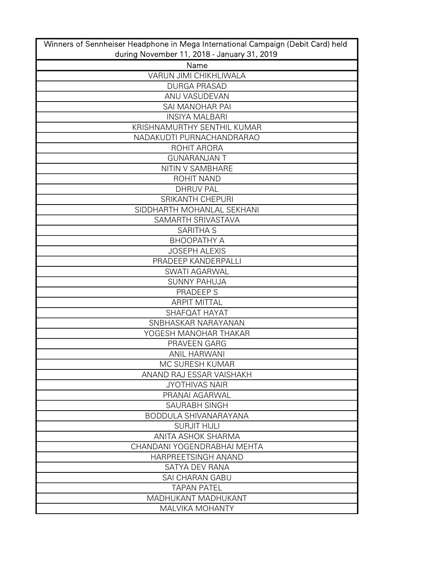| Winners of Sennheiser Headphone in Mega International Campaign (Debit Card) held |
|----------------------------------------------------------------------------------|
| during November 11, 2018 - January 31, 2019                                      |
| Name                                                                             |
| <b>VARUN JIMI CHIKHLIWALA</b>                                                    |
| <b>DURGA PRASAD</b>                                                              |
| ANU VASUDEVAN                                                                    |
| SAI MANOHAR PAI                                                                  |
| <b>INSIYA MALBARI</b>                                                            |
| KRISHNAMURTHY SENTHIL KUMAR                                                      |
| NADAKUDTI PURNACHANDRARAO                                                        |
| ROHIT ARORA                                                                      |
| <b>GUNARANJAN T</b>                                                              |
| NITIN V SAMBHARE                                                                 |
| <b>ROHIT NAND</b>                                                                |
| <b>DHRUV PAL</b>                                                                 |
| <b>SRIKANTH CHEPURI</b>                                                          |
| SIDDHARTH MOHANLAL SEKHANI                                                       |
| SAMARTH SRIVASTAVA                                                               |
| <b>SARITHA S</b>                                                                 |
| ВНООРАТНУ А                                                                      |
| <b>JOSEPH ALEXIS</b>                                                             |
| PRADEEP KANDERPALLI                                                              |
| <b>SWATI AGARWAL</b>                                                             |
| <b>SUNNY PAHUJA</b>                                                              |
| PRADEEP S                                                                        |
| <b>ARPIT MITTAL</b>                                                              |
| SHAFQAT HAYAT                                                                    |
| SNBHASKAR NARAYANAN                                                              |
| YOGESH MANOHAR THAKAR                                                            |
| PRAVEEN GARG                                                                     |
| <b>ANIL HARWANI</b>                                                              |
| MC SURESH KUMAR                                                                  |
| ANAND RAJ ESSAR VAISHAKH                                                         |
| <b>JYOTHIVAS NAIR</b>                                                            |
| PRANAI AGARWAL                                                                   |
| SAURABH SINGH                                                                    |
| <b>BODDULA SHIVANARAYANA</b>                                                     |
| <b>SURJIT HIJLI</b>                                                              |
| ANITA ASHOK SHARMA                                                               |
| CHANDANI YOGENDRABHAI MEHTA                                                      |
| HARPREETSINGH ANAND                                                              |
| SATYA DEV RANA                                                                   |
| <b>SAI CHARAN GABU</b>                                                           |
| <b>TAPAN PATEL</b>                                                               |
| MADHUKANT MADHUKANT                                                              |
| <b>MALVIKA MOHANTY</b>                                                           |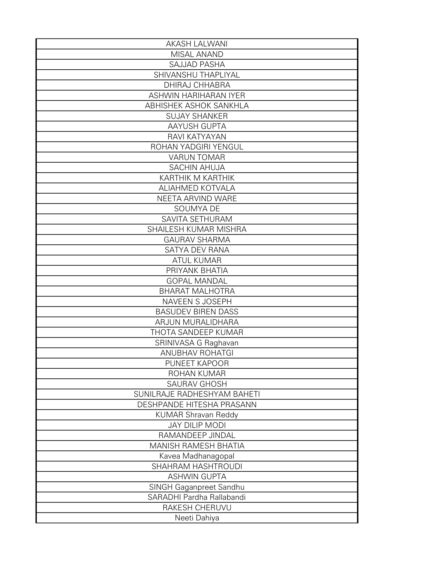| <b>AKASH LALWANI</b>        |
|-----------------------------|
| MISAL ANAND                 |
| <b>SAJJAD PASHA</b>         |
| SHIVANSHU THAPLIYAL         |
| <b>DHIRAJ CHHABRA</b>       |
| ASHWIN HARIHARAN IYER       |
| ABHISHEK ASHOK SANKHLA      |
| <b>SUJAY SHANKER</b>        |
| <b>AAYUSH GUPTA</b>         |
| RAVI KATYAYAN               |
| ROHAN YADGIRI YENGUL        |
| <b>VARUN TOMAR</b>          |
| <b>SACHIN AHUJA</b>         |
| KARTHIK M KARTHIK           |
| ALIAHMED KOTVALA            |
| NEETA ARVIND WARE           |
| SOUMYA DE                   |
| SAVITA SETHURAM             |
| SHAILESH KUMAR MISHRA       |
| <b>GAURAV SHARMA</b>        |
| SATYA DEV RANA              |
| <b>ATUL KUMAR</b>           |
| PRIYANK BHATIA              |
| <b>GOPAL MANDAL</b>         |
| <b>BHARAT MALHOTRA</b>      |
| NAVEEN S JOSEPH             |
| <b>BASUDEV BIREN DASS</b>   |
| ARJUN MURALIDHARA           |
| THOTA SANDEEP KUMAR         |
| SRINIVASA G Raghavan        |
| <b>ANUBHAV ROHATGI</b>      |
| PUNEET KAPOOR               |
| ROHAN KUMAR                 |
| <b>SAURAV GHOSH</b>         |
| SUNILRAJE RADHESHYAM BAHETI |
| DESHPANDE HITESHA PRASANN   |
| <b>KUMAR Shravan Reddy</b>  |
| <b>JAY DILIP MODI</b>       |
| RAMANDEEP JINDAL            |
| MANISH RAMESH BHATIA        |
| Kavea Madhanagopal          |
| SHAHRAM HASHTROUDI          |
| <b>ASHWIN GUPTA</b>         |
| SINGH Gaganpreet Sandhu     |
| SARADHI Pardha Rallabandi   |
| RAKESH CHERUVU              |
| Neeti Dahiya                |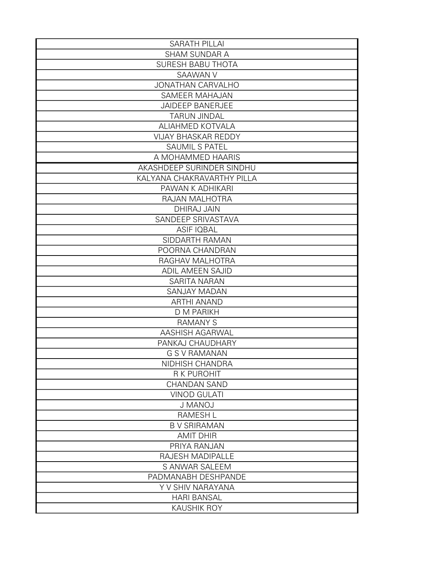| <b>SARATH PILLAI</b>       |
|----------------------------|
| <b>SHAM SUNDAR A</b>       |
| <b>SURESH BABU THOTA</b>   |
| SAAWAN V                   |
| <b>JONATHAN CARVALHO</b>   |
| SAMEER MAHAJAN             |
| <b>JAIDEEP BANERJEE</b>    |
| <b>TARUN JINDAL</b>        |
| ALIAHMED KOTVALA           |
| <b>VIJAY BHASKAR REDDY</b> |
| <b>SAUMIL S PATEL</b>      |
| A MOHAMMED HAARIS          |
| AKASHDEEP SURINDER SINDHU  |
| KALYANA CHAKRAVARTHY PILLA |
| PAWAN K ADHIKARI           |
| RAJAN MALHOTRA             |
| <b>DHIRAJ JAIN</b>         |
| SANDEEP SRIVASTAVA         |
| <b>ASIF IQBAL</b>          |
| SIDDARTH RAMAN             |
| POORNA CHANDRAN            |
| RAGHAV MALHOTRA            |
| ADIL AMEEN SAJID           |
| SARITA NARAN               |
| <b>SANJAY MADAN</b>        |
| <b>ARTHI ANAND</b>         |
| <b>D M PARIKH</b>          |
| <b>RAMANY S</b>            |
| AASHISH AGARWAL            |
| PANKAJ CHAUDHARY           |
| <b>G S V RAMANAN</b>       |
| NIDHISH CHANDRA            |
| <b>R K PUROHIT</b>         |
| <b>CHANDAN SAND</b>        |
| <b>VINOD GULATI</b>        |
| <b>J MANOJ</b>             |
| <b>RAMESHL</b>             |
| <b>B V SRIRAMAN</b>        |
| <b>AMIT DHIR</b>           |
| PRIYA RANJAN               |
| RAJESH MADIPALLE           |
| S ANWAR SALEEM             |
| PADMANABH DESHPANDE        |
| Y V SHIV NARAYANA          |
| <b>HARI BANSAL</b>         |
| <b>KAUSHIK ROY</b>         |
|                            |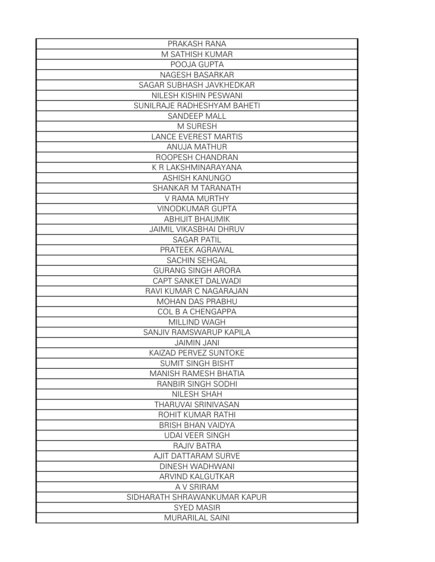| PRAKASH RANA                  |
|-------------------------------|
| M SATHISH KUMAR               |
| POOJA GUPTA                   |
| NAGESH BASARKAR               |
| SAGAR SUBHASH JAVKHEDKAR      |
| NILESH KISHIN PESWANI         |
| SUNILRAJE RADHESHYAM BAHETI   |
| SANDEEP MALL                  |
| M SURESH                      |
| <b>LANCE EVEREST MARTIS</b>   |
| <b>ANUJA MATHUR</b>           |
| ROOPESH CHANDRAN              |
| K R LAKSHMINARAYANA           |
| <b>ASHISH KANUNGO</b>         |
| <b>SHANKAR M TARANATH</b>     |
| V RAMA MURTHY                 |
| <b>VINODKUMAR GUPTA</b>       |
| <b>ABHIJIT BHAUMIK</b>        |
| <b>JAIMIL VIKASBHAI DHRUV</b> |
| <b>SAGAR PATIL</b>            |
| PRATEEK AGRAWAL               |
| SACHIN SEHGAL                 |
| <b>GURANG SINGH ARORA</b>     |
| CAPT SANKET DALWADI           |
| RAVI KUMAR C NAGARAJAN        |
| <b>MOHAN DAS PRABHU</b>       |
| <b>COL B A CHENGAPPA</b>      |
| MILLIND WAGH                  |
| SANJIV RAMSWARUP KAPILA       |
| <b>JAIMIN JANI</b>            |
| KAIZAD PERVEZ SUNTOKE         |
| <b>SUMIT SINGH BISHT</b>      |
| MANISH RAMESH BHATIA          |
| RANBIR SINGH SODHI            |
| NILESH SHAH                   |
| THARUVAI SRINIVASAN           |
| ROHIT KUMAR RATHI             |
| <b>BRISH BHAN VAIDYA</b>      |
| <b>UDAI VEER SINGH</b>        |
| <b>RAJIV BATRA</b>            |
| <b>AJIT DATTARAM SURVE</b>    |
| DINESH WADHWANI               |
| ARVIND KALGUTKAR              |
| A V SRIRAM                    |
| SIDHARATH SHRAWANKUMAR KAPUR  |
| <b>SYED MASIR</b>             |
| <b>MURARILAL SAINI</b>        |